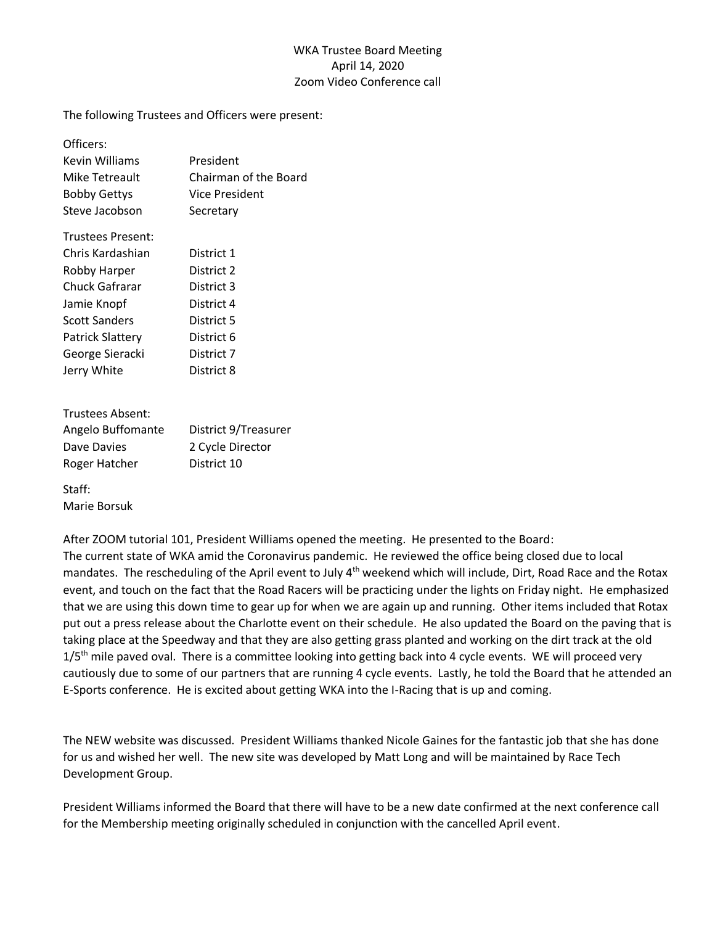## WKA Trustee Board Meeting April 14, 2020 Zoom Video Conference call

The following Trustees and Officers were present:

| Officers:                |                       |
|--------------------------|-----------------------|
| Kevin Williams           | President             |
| Mike Tetreault           | Chairman of the Board |
| <b>Bobby Gettys</b>      | Vice President        |
| Steve Jacobson           | Secretary             |
| <b>Trustees Present:</b> |                       |
| Chris Kardashian         | District 1            |
| Robby Harper             | District 2            |
| Chuck Gafrarar           | District 3            |
| Jamie Knopf              | District 4            |
| Scott Sanders            | District 5            |
| Patrick Slattery         | District 6            |
| George Sieracki          | District 7            |
| Jerry White              | District 8            |
|                          |                       |

| Trustees Absent:  |                      |
|-------------------|----------------------|
| Angelo Buffomante | District 9/Treasurer |
| Dave Davies       | 2 Cycle Director     |
| Roger Hatcher     | District 10          |
| Staff:            |                      |

Marie Borsuk

After ZOOM tutorial 101, President Williams opened the meeting. He presented to the Board: The current state of WKA amid the Coronavirus pandemic. He reviewed the office being closed due to local mandates. The rescheduling of the April event to July 4<sup>th</sup> weekend which will include, Dirt, Road Race and the Rotax event, and touch on the fact that the Road Racers will be practicing under the lights on Friday night. He emphasized that we are using this down time to gear up for when we are again up and running. Other items included that Rotax put out a press release about the Charlotte event on their schedule. He also updated the Board on the paving that is taking place at the Speedway and that they are also getting grass planted and working on the dirt track at the old  $1/5$ <sup>th</sup> mile paved oval. There is a committee looking into getting back into 4 cycle events. WE will proceed very cautiously due to some of our partners that are running 4 cycle events. Lastly, he told the Board that he attended an E-Sports conference. He is excited about getting WKA into the I-Racing that is up and coming.

The NEW website was discussed. President Williams thanked Nicole Gaines for the fantastic job that she has done for us and wished her well. The new site was developed by Matt Long and will be maintained by Race Tech Development Group.

President Williams informed the Board that there will have to be a new date confirmed at the next conference call for the Membership meeting originally scheduled in conjunction with the cancelled April event.